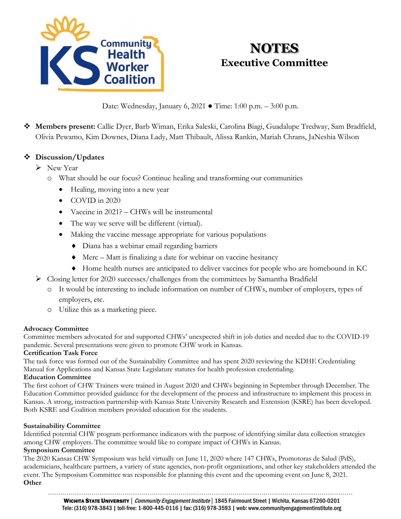

# **NOTES Executive Committee**

Date: Wednesday, January 6, 2021 ● Time: 1:00 p.m. – 3:00 p.m.

 **Members present:** Callie Dyer, Barb Wiman, Erika Saleski, Carolina Biagi, Guadalupe Tredway, Sam Bradfield, Olivia Pewamo, Kim Downes, Diana Lady, Matt Thibault, Alissa Rankin, Mariah Chrans, JaNeshia Wilson

## **Discussion/Updates**

- New Year
	- o What should be our focus? Continue healing and transforming our communities
		- Healing, moving into a new year
		- COVID in 2020
		- Vaccine in 2021? CHWs will be instrumental
		- The way we serve will be different (virtual).
		- Making the vaccine message appropriate for various populations
			- ♦ Diana has a webinar email regarding barriers
			- ♦ Merc Matt is finalizing a date for webinar on vaccine hesitancy
			- ♦ Home health nurses are anticipated to deliver vaccines for people who are homebound in KC
- Closing letter for 2020 successes/challenges from the committees by Samantha Bradfield
	- o It would be interesting to include information on number of CHWs, number of employers, types of employers, etc.
	- o Utilize this as a marketing piece.

#### **Advocacy Committee**

Committee members advocated for and supported CHWs' unexpected shift in job duties and needed due to the COVID-19 pandemic. Several presentations were given to promote CHW work in Kansas.

#### **Certification Task Force**

The task force was formed out of the Sustainability Committee and has spent 2020 reviewing the KDHE Credentialing Manual for Applications and Kansas State Legislature statutes for health profession credentialing.

#### **Education Committee**

The first cohort of CHW Trainers were trained in August 2020 and CHWs beginning in September through December. The Education Committee provided guidance for the development of the process and infrastructure to implement this process in Kansas. A strong, instruction partnership with Kansas State University Research and Extension (KSRE) has been developed. Both KSRE and Coalition members provided education for the students.

#### **Sustainability Committee**

Identified potential CHW program performance indicators with the purpose of identifying similar data collection strategies among CHW employers. The committee would like to compare impact of CHWs in Kansas.

#### **Symposium Committee**

The 2020 Kansas CHW Symposium was held virtually on June 11, 2020 where 147 CHWs, Promotoras de Salud (PdS), academicians, healthcare partners, a variety of state agencies, non-profit organizations, and other key stakeholders attended the event. The Symposium Committee was responsible for planning this event and the upcoming event on June 8, 2021. **Other**

…………………………………………………………………………………………………………………………………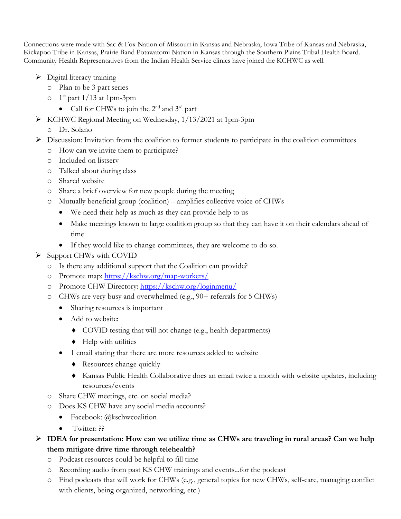Connections were made with Sac & Fox Nation of Missouri in Kansas and Nebraska, Iowa Tribe of Kansas and Nebraska, Kickapoo Tribe in Kansas, Prairie Band Potawatomi Nation in Kansas through the Southern Plains Tribal Health Board. Community Health Representatives from the Indian Health Service clinics have joined the KCHWC as well.

- $\triangleright$  Digital literacy training
	- o Plan to be 3 part series
	- $\circ$  1<sup>st</sup> part 1/13 at 1pm-3pm
		- Call for CHWs to join the  $2<sup>nd</sup>$  and  $3<sup>rd</sup>$  part
- KCHWC Regional Meeting on Wednesday, 1/13/2021 at 1pm-3pm
	- o Dr. Solano
- $\triangleright$  Discussion: Invitation from the coalition to former students to participate in the coalition committees
	- o How can we invite them to participate?
	- o Included on listserv
	- o Talked about during class
	- o Shared website
	- o Share a brief overview for new people during the meeting
	- o Mutually beneficial group (coalition) amplifies collective voice of CHWs
		- We need their help as much as they can provide help to us
		- Make meetings known to large coalition group so that they can have it on their calendars ahead of time
		- If they would like to change committees, they are welcome to do so.
- $\triangleright$  Support CHWs with COVID
	- o Is there any additional support that the Coalition can provide?
	- o Promote map: <https://kschw.org/map-workers/>
	- o Promote CHW Directory:<https://kschw.org/loginmenu/>
	- o CHWs are very busy and overwhelmed (e.g., 90+ referrals for 5 CHWs)
		- Sharing resources is important
		- Add to website:
			- ♦ COVID testing that will not change (e.g., health departments)
			- ♦ Help with utilities
		- 1 email stating that there are more resources added to website
			- ♦ Resources change quickly
			- ♦ Kansas Public Health Collaborative does an email twice a month with website updates, including resources/events
	- o Share CHW meetings, etc. on social media?
	- o Does KS CHW have any social media accounts?
		- Facebook: @kschwcoalition
		- Twitter: ??
- **IDEA for presentation: How can we utilize time as CHWs are traveling in rural areas? Can we help them mitigate drive time through telehealth?**
	- o Podcast resources could be helpful to fill time
	- o Recording audio from past KS CHW trainings and events...for the podcast
	- o Find podcasts that will work for CHWs (e.g., general topics for new CHWs, self-care, managing conflict with clients, being organized, networking, etc.)